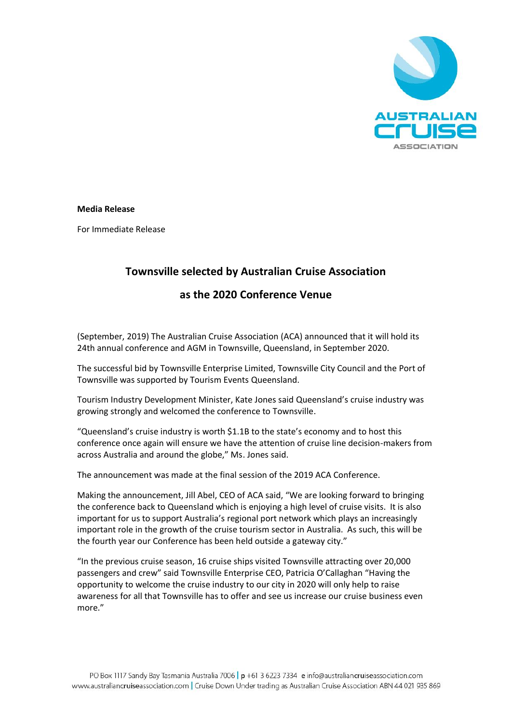

#### **Media Release**

For Immediate Release

# **Townsville selected by Australian Cruise Association**

## **as the 2020 Conference Venue**

(September, 2019) The Australian Cruise Association (ACA) announced that it will hold its 24th annual conference and AGM in Townsville, Queensland, in September 2020.

The successful bid by Townsville Enterprise Limited, Townsville City Council and the Port of Townsville was supported by Tourism Events Queensland.

Tourism Industry Development Minister, Kate Jones said Queensland's cruise industry was growing strongly and welcomed the conference to Townsville.

"Queensland's cruise industry is worth \$1.1B to the state's economy and to host this conference once again will ensure we have the attention of cruise line decision-makers from across Australia and around the globe," Ms. Jones said.

The announcement was made at the final session of the 2019 ACA Conference.

Making the announcement, Jill Abel, CEO of ACA said, "We are looking forward to bringing the conference back to Queensland which is enjoying a high level of cruise visits. It is also important for us to support Australia's regional port network which plays an increasingly important role in the growth of the cruise tourism sector in Australia. As such, this will be the fourth year our Conference has been held outside a gateway city."

"In the previous cruise season, 16 cruise ships visited Townsville attracting over 20,000 passengers and crew" said Townsville Enterprise CEO, Patricia O'Callaghan "Having the opportunity to welcome the cruise industry to our city in 2020 will only help to raise awareness for all that Townsville has to offer and see us increase our cruise business even more."